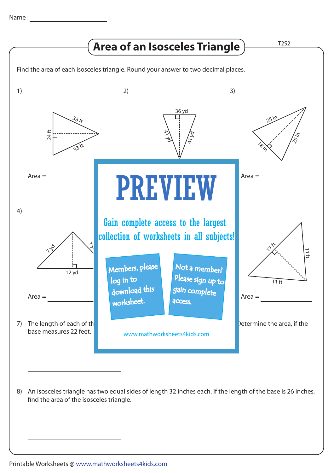

An isosceles triangle has two equal sides of length 32 inches each. If the length of the base is 26 inches, 8) find the area of the isosceles triangle.